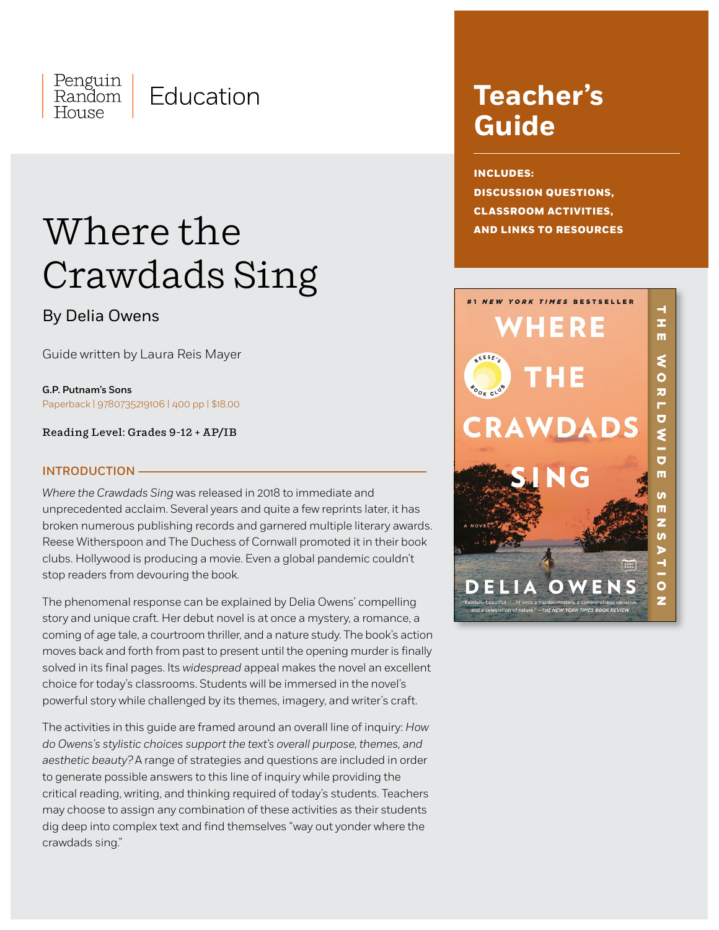

# Where the **and Links TO RESOURCES** Crawdads Sing

### By Delia Owens

Guide written by Laura Reis Mayer

G.P. Putnam's Sons Paperback | 9780735219106 | 400 pp | \$18.00

Reading Level: Grades 9-12 + AP/IB

#### INTRODUCTION –

*Where the Crawdads Sing* was released in 2018 to immediate and unprecedented acclaim. Several years and quite a few reprints later, it has broken numerous publishing records and garnered multiple literary awards. Reese Witherspoon and The Duchess of Cornwall promoted it in their book clubs. Hollywood is producing a movie. Even a global pandemic couldn't stop readers from devouring the book.

The phenomenal response can be explained by Delia Owens' compelling story and unique craft. Her debut novel is at once a mystery, a romance, a coming of age tale, a courtroom thriller, and a nature study. The book's action moves back and forth from past to present until the opening murder is finally solved in its final pages. Its *widespread* appeal makes the novel an excellent choice for today's classrooms. Students will be immersed in the novel's powerful story while challenged by its themes, imagery, and writer's craft.

The activities in this guide are framed around an overall line of inquiry: *How do Owens's stylistic choices support the text's overall purpose, themes, and aesthetic beauty?* A range of strategies and questions are included in order to generate possible answers to this line of inquiry while providing the critical reading, writing, and thinking required of today's students. Teachers may choose to assign any combination of these activities as their students dig deep into complex text and find themselves "way out yonder where the crawdads sing."

## **Teacher's Guide**

**Includes: discussion questions, classroom activities,** 

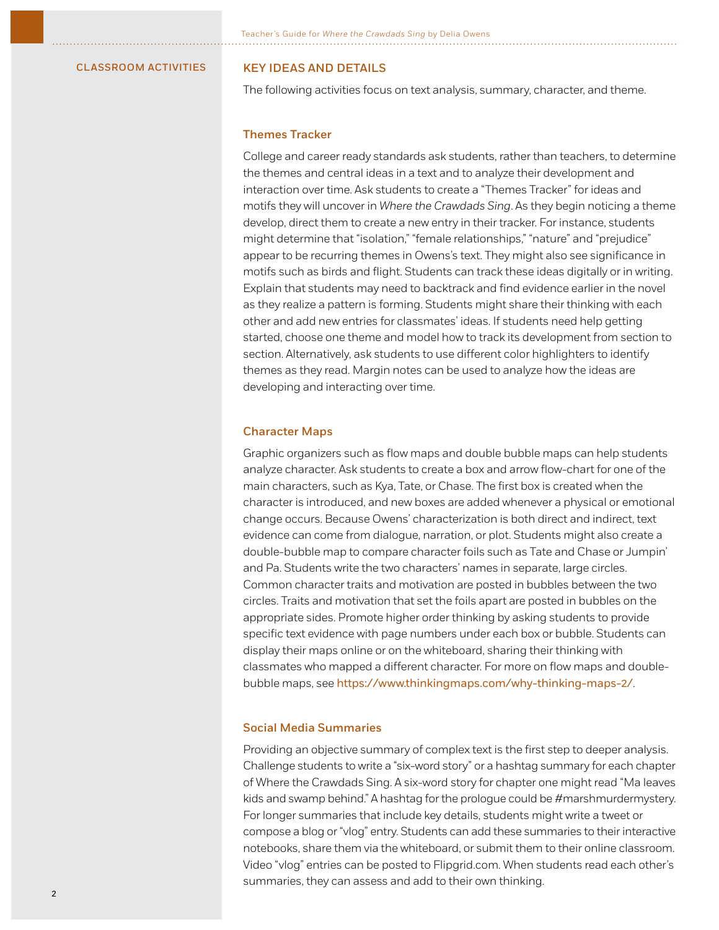#### CLASSROOM ACTIVITIES KEY IDEAS AND DETAILS

The following activities focus on text analysis, summary, character, and theme.

#### Themes Tracker

College and career ready standards ask students, rather than teachers, to determine the themes and central ideas in a text and to analyze their development and interaction over time. Ask students to create a "Themes Tracker" for ideas and motifs they will uncover in *Where the Crawdads Sing*. As they begin noticing a theme develop, direct them to create a new entry in their tracker. For instance, students might determine that "isolation," "female relationships," "nature" and "prejudice" appear to be recurring themes in Owens's text. They might also see significance in motifs such as birds and flight. Students can track these ideas digitally or in writing. Explain that students may need to backtrack and find evidence earlier in the novel as they realize a pattern is forming. Students might share their thinking with each other and add new entries for classmates' ideas. If students need help getting started, choose one theme and model how to track its development from section to section. Alternatively, ask students to use different color highlighters to identify themes as they read. Margin notes can be used to analyze how the ideas are developing and interacting over time.

#### Character Maps

Graphic organizers such as flow maps and double bubble maps can help students analyze character. Ask students to create a box and arrow flow-chart for one of the main characters, such as Kya, Tate, or Chase. The first box is created when the character is introduced, and new boxes are added whenever a physical or emotional change occurs. Because Owens' characterization is both direct and indirect, text evidence can come from dialogue, narration, or plot. Students might also create a double-bubble map to compare character foils such as Tate and Chase or Jumpin' and Pa. Students write the two characters' names in separate, large circles. Common character traits and motivation are posted in bubbles between the two circles. Traits and motivation that set the foils apart are posted in bubbles on the appropriate sides. Promote higher order thinking by asking students to provide specific text evidence with page numbers under each box or bubble. Students can display their maps online or on the whiteboard, sharing their thinking with classmates who mapped a different character. For more on flow maps and doublebubble maps, see <https://www.thinkingmaps.com/why-thinking-maps-2/>.

#### Social Media Summaries

Providing an objective summary of complex text is the first step to deeper analysis. Challenge students to write a "six-word story" or a hashtag summary for each chapter of Where the Crawdads Sing. A six-word story for chapter one might read "Ma leaves kids and swamp behind." A hashtag for the prologue could be #marshmurdermystery. For longer summaries that include key details, students might write a tweet or compose a blog or "vlog" entry. Students can add these summaries to their interactive notebooks, share them via the whiteboard, or submit them to their online classroom. Video "vlog" entries can be posted to Flipgrid.com. When students read each other's summaries, they can assess and add to their own thinking.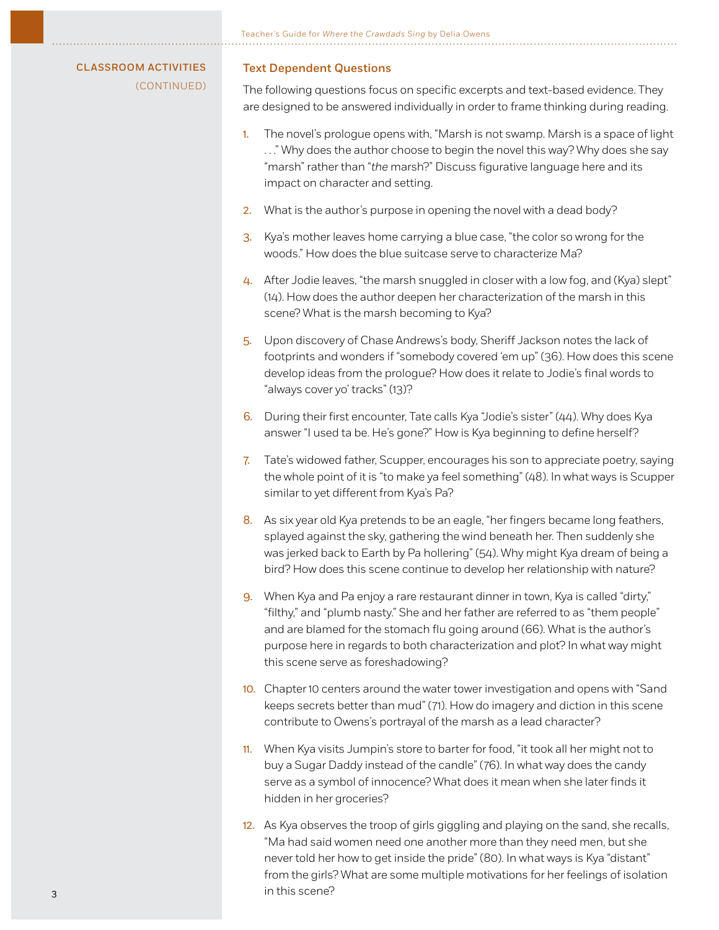#### Classroom Activities (CONTINUED)

#### Text Dependent Questions

The following questions focus on specific excerpts and text-based evidence. They are designed to be answered individually in order to frame thinking during reading.

- 1. The novel's prologue opens with, "Marsh is not swamp. Marsh is a space of light ..." Why does the author choose to begin the novel this way? Why does she say "marsh" rather than "*the* marsh?" Discuss figurative language here and its impact on character and setting.
- 2. What is the author's purpose in opening the novel with a dead body?
- 3. Kya's mother leaves home carrying a blue case, "the color so wrong for the woods." How does the blue suitcase serve to characterize Ma?
- 4. After Jodie leaves, "the marsh snuggled in closer with a low fog, and (Kya) slept" (14). How does the author deepen her characterization of the marsh in this scene? What is the marsh becoming to Kya?
- 5. Upon discovery of Chase Andrews's body, Sheriff Jackson notes the lack of footprints and wonders if "somebody covered 'em up" (36). How does this scene develop ideas from the prologue? How does it relate to Jodie's final words to "always cover yo' tracks" (13)?
- 6. During their first encounter, Tate calls Kya "Jodie's sister" (44). Why does Kya answer "I used ta be. He's gone?" How is Kya beginning to define herself?
- 7. Tate's widowed father, Scupper, encourages his son to appreciate poetry, saying the whole point of it is "to make ya feel something" (48). In what ways is Scupper similar to yet different from Kya's Pa?
- 8. As six year old Kya pretends to be an eagle, "her fingers became long feathers, splayed against the sky, gathering the wind beneath her. Then suddenly she was jerked back to Earth by Pa hollering" (54). Why might Kya dream of being a bird? How does this scene continue to develop her relationship with nature?
- 9. When Kya and Pa enjoy a rare restaurant dinner in town, Kya is called "dirty," "filthy," and "plumb nasty." She and her father are referred to as "them people" and are blamed for the stomach flu going around (66). What is the author's purpose here in regards to both characterization and plot? In what way might this scene serve as foreshadowing?
- 10. Chapter 10 centers around the water tower investigation and opens with "Sand keeps secrets better than mud" (71). How do imagery and diction in this scene contribute to Owens's portrayal of the marsh as a lead character?
- 11. When Kya visits Jumpin's store to barter for food, "it took all her might not to buy a Sugar Daddy instead of the candle" (76). In what way does the candy serve as a symbol of innocence? What does it mean when she later finds it hidden in her groceries?
- 12. As Kya observes the troop of girls giggling and playing on the sand, she recalls, "Ma had said women need one another more than they need men, but she never told her how to get inside the pride" (80). In what ways is Kya "distant" from the girls? What are some multiple motivations for her feelings of isolation in this scene?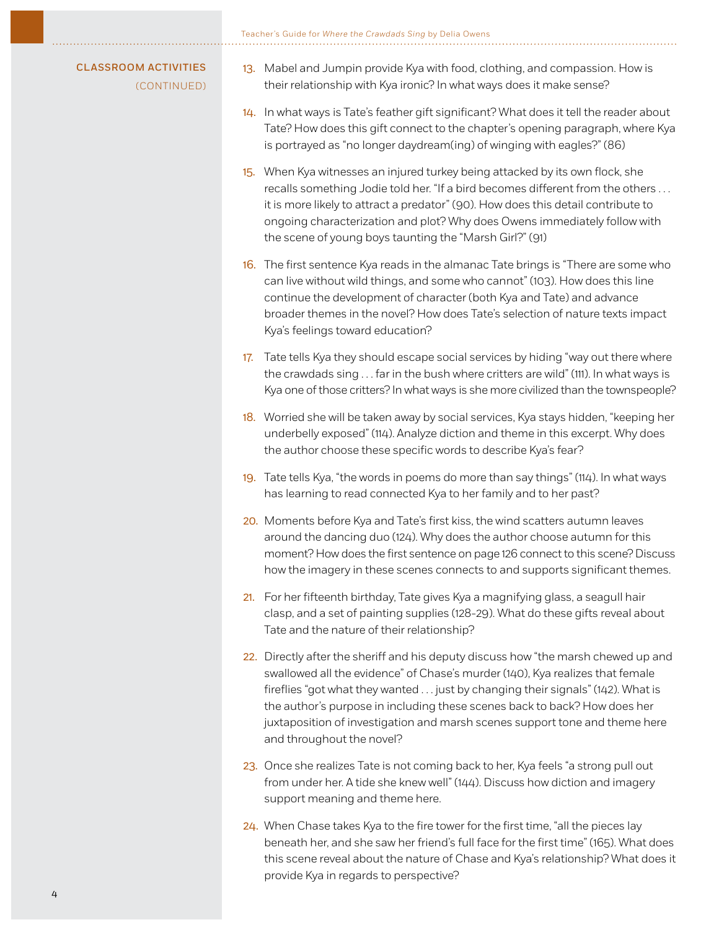#### Classroom Activities (CONTINUED)

- 13. Mabel and Jumpin provide Kya with food, clothing, and compassion. How is their relationship with Kya ironic? In what ways does it make sense?
- 14. In what ways is Tate's feather gift significant? What does it tell the reader about Tate? How does this gift connect to the chapter's opening paragraph, where Kya is portrayed as "no longer daydream(ing) of winging with eagles?" (86)
- 15. When Kya witnesses an injured turkey being attacked by its own flock, she recalls something Jodie told her. "If a bird becomes different from the others . . . it is more likely to attract a predator" (90). How does this detail contribute to ongoing characterization and plot? Why does Owens immediately follow with the scene of young boys taunting the "Marsh Girl?" (91)
- 16. The first sentence Kya reads in the almanac Tate brings is "There are some who can live without wild things, and some who cannot" (103). How does this line continue the development of character (both Kya and Tate) and advance broader themes in the novel? How does Tate's selection of nature texts impact Kya's feelings toward education?
- 17. Tate tells Kya they should escape social services by hiding "way out there where the crawdads sing . . . far in the bush where critters are wild" (111). In what ways is Kya one of those critters? In what ways is she more civilized than the townspeople?
- 18. Worried she will be taken away by social services, Kya stays hidden, "keeping her underbelly exposed" (114). Analyze diction and theme in this excerpt. Why does the author choose these specific words to describe Kya's fear?
- 19. Tate tells Kya, "the words in poems do more than say things" (114). In what ways has learning to read connected Kya to her family and to her past?
- 20. Moments before Kya and Tate's first kiss, the wind scatters autumn leaves around the dancing duo (124). Why does the author choose autumn for this moment? How does the first sentence on page 126 connect to this scene? Discuss how the imagery in these scenes connects to and supports significant themes.
- 21. For her fifteenth birthday, Tate gives Kya a magnifying glass, a seagull hair clasp, and a set of painting supplies (128-29). What do these gifts reveal about Tate and the nature of their relationship?
- 22. Directly after the sheriff and his deputy discuss how "the marsh chewed up and swallowed all the evidence" of Chase's murder (140), Kya realizes that female fireflies "got what they wanted . . . just by changing their signals" (142). What is the author's purpose in including these scenes back to back? How does her juxtaposition of investigation and marsh scenes support tone and theme here and throughout the novel?
- 23. Once she realizes Tate is not coming back to her, Kya feels "a strong pull out from under her. A tide she knew well" (144). Discuss how diction and imagery support meaning and theme here.
- 24. When Chase takes Kya to the fire tower for the first time, "all the pieces lay beneath her, and she saw her friend's full face for the first time" (165). What does this scene reveal about the nature of Chase and Kya's relationship? What does it provide Kya in regards to perspective?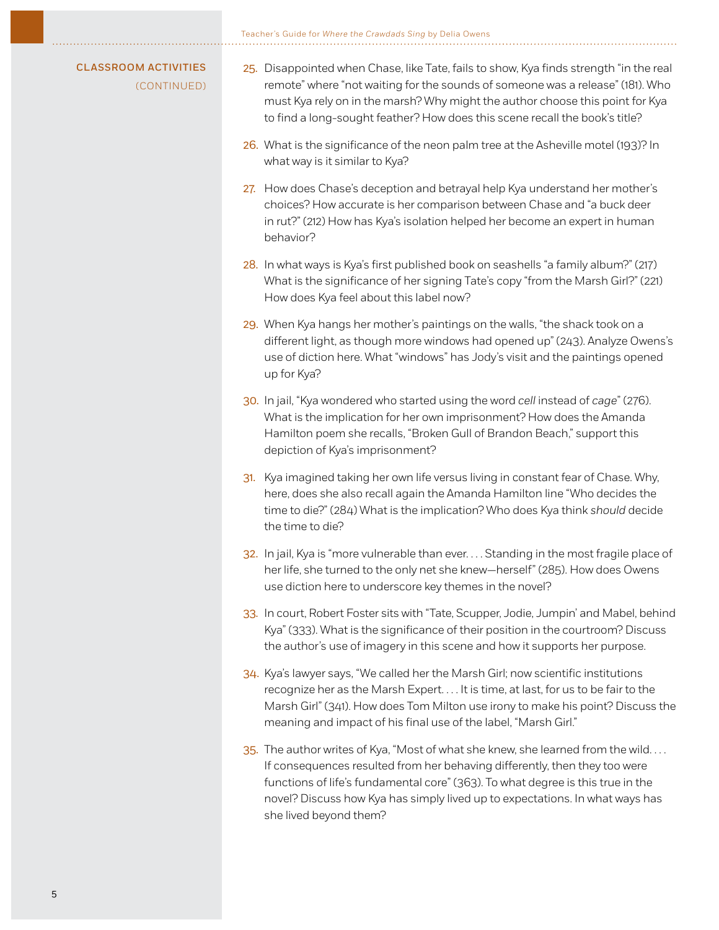#### Classroom Activities (CONTINUED)

- 25. Disappointed when Chase, like Tate, fails to show, Kya finds strength "in the real remote" where "not waiting for the sounds of someone was a release" (181). Who must Kya rely on in the marsh? Why might the author choose this point for Kya to find a long-sought feather? How does this scene recall the book's title?
- 26. What is the significance of the neon palm tree at the Asheville motel (193)? In what way is it similar to Kya?
- 27. How does Chase's deception and betrayal help Kya understand her mother's choices? How accurate is her comparison between Chase and "a buck deer in rut?" (212) How has Kya's isolation helped her become an expert in human behavior?
- 28. In what ways is Kya's first published book on seashells "a family album?" (217) What is the significance of her signing Tate's copy "from the Marsh Girl?" (221) How does Kya feel about this label now?
- 29. When Kya hangs her mother's paintings on the walls, "the shack took on a different light, as though more windows had opened up" (243). Analyze Owens's use of diction here. What "windows" has Jody's visit and the paintings opened up for Kya?
- 30. In jail, "Kya wondered who started using the word *cell* instead of *cage*" (276). What is the implication for her own imprisonment? How does the Amanda Hamilton poem she recalls, "Broken Gull of Brandon Beach," support this depiction of Kya's imprisonment?
- 31. Kya imagined taking her own life versus living in constant fear of Chase. Why, here, does she also recall again the Amanda Hamilton line "Who decides the time to die?" (284) What is the implication? Who does Kya think *should* decide the time to die?
- 32. In jail, Kya is "more vulnerable than ever.... Standing in the most fragile place of her life, she turned to the only net she knew—herself" (285). How does Owens use diction here to underscore key themes in the novel?
- 33. In court, Robert Foster sits with "Tate, Scupper, Jodie, Jumpin' and Mabel, behind Kya" (333). What is the significance of their position in the courtroom? Discuss the author's use of imagery in this scene and how it supports her purpose.
- 34. Kya's lawyer says, "We called her the Marsh Girl; now scientific institutions recognize her as the Marsh Expert. . . . It is time, at last, for us to be fair to the Marsh Girl" (341). How does Tom Milton use irony to make his point? Discuss the meaning and impact of his final use of the label, "Marsh Girl."
- 35. The author writes of Kya, "Most of what she knew, she learned from the wild.... If consequences resulted from her behaving differently, then they too were functions of life's fundamental core" (363). To what degree is this true in the novel? Discuss how Kya has simply lived up to expectations. In what ways has she lived beyond them?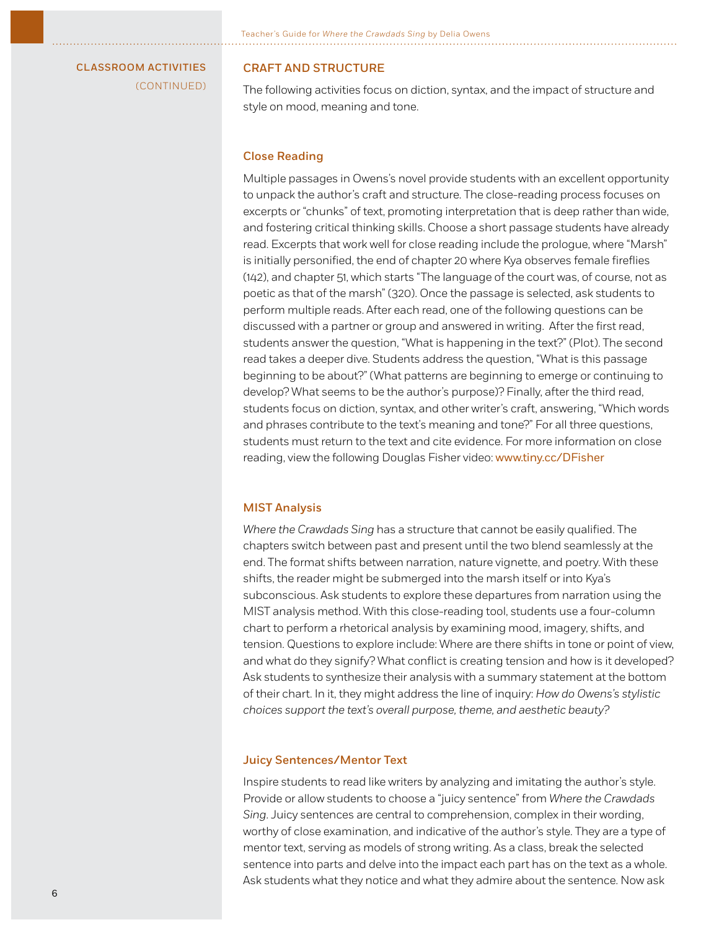#### Classroom Activities (CONTINUED)

#### **CRAFT AND STRUCTURE**

The following activities focus on diction, syntax, and the impact of structure and style on mood, meaning and tone.

#### Close Reading

Multiple passages in Owens's novel provide students with an excellent opportunity to unpack the author's craft and structure. The close-reading process focuses on excerpts or "chunks" of text, promoting interpretation that is deep rather than wide, and fostering critical thinking skills. Choose a short passage students have already read. Excerpts that work well for close reading include the prologue, where "Marsh" is initially personified, the end of chapter 20 where Kya observes female fireflies (142), and chapter 51, which starts "The language of the court was, of course, not as poetic as that of the marsh" (320). Once the passage is selected, ask students to perform multiple reads. After each read, one of the following questions can be discussed with a partner or group and answered in writing. After the first read, students answer the question, "What is happening in the text?" (Plot). The second read takes a deeper dive. Students address the question, "What is this passage beginning to be about?" (What patterns are beginning to emerge or continuing to develop? What seems to be the author's purpose)? Finally, after the third read, students focus on diction, syntax, and other writer's craft, answering, "Which words and phrases contribute to the text's meaning and tone?" For all three questions, students must return to the text and cite evidence. For more information on close reading, view the following Douglas Fisher video: [www.tiny.cc/DFisher](http://www.tiny.cc/DFisher)

#### MIST Analysis

*Where the Crawdads Sing* has a structure that cannot be easily qualified. The chapters switch between past and present until the two blend seamlessly at the end. The format shifts between narration, nature vignette, and poetry. With these shifts, the reader might be submerged into the marsh itself or into Kya's subconscious. Ask students to explore these departures from narration using the MIST analysis method. With this close-reading tool, students use a four-column chart to perform a rhetorical analysis by examining mood, imagery, shifts, and tension. Questions to explore include: Where are there shifts in tone or point of view, and what do they signify? What conflict is creating tension and how is it developed? Ask students to synthesize their analysis with a summary statement at the bottom of their chart. In it, they might address the line of inquiry: *How do Owens's stylistic choices support the text's overall purpose, theme, and aesthetic beauty?*

#### Juicy Sentences/Mentor Text

Inspire students to read like writers by analyzing and imitating the author's style. Provide or allow students to choose a "juicy sentence" from *Where the Crawdads Sing*. Juicy sentences are central to comprehension, complex in their wording, worthy of close examination, and indicative of the author's style. They are a type of mentor text, serving as models of strong writing. As a class, break the selected sentence into parts and delve into the impact each part has on the text as a whole. Ask students what they notice and what they admire about the sentence. Now ask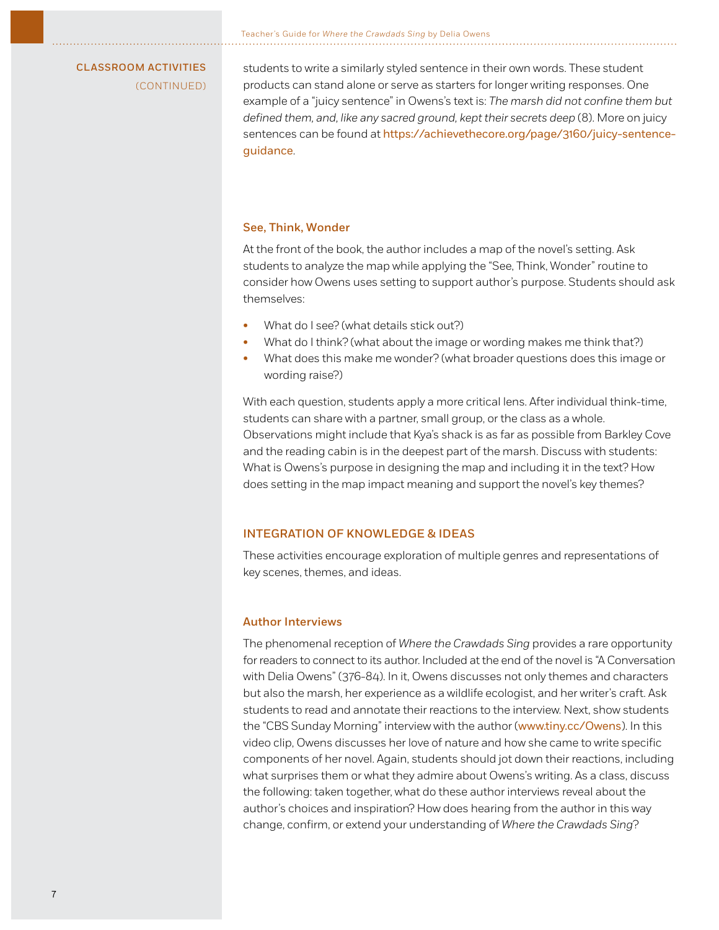#### Classroom Activities (CONTINUED)

students to write a similarly styled sentence in their own words. These student products can stand alone or serve as starters for longer writing responses. One example of a "juicy sentence" in Owens's text is: *The marsh did not confine them but defined them, and, like any sacred ground, kept their secrets deep* (8). More on juicy sentences can be found at [https://achievethecore.org/page/3160/juicy-sentence](https://achievethecore.org/page/3160/juicy-sentence-guidance)[guidance](https://achievethecore.org/page/3160/juicy-sentence-guidance).

#### See, Think, Wonder

At the front of the book, the author includes a map of the novel's setting. Ask students to analyze the map while applying the "See, Think, Wonder" routine to consider how Owens uses setting to support author's purpose. Students should ask themselves:

- What do I see? (what details stick out?)
- What do I think? (what about the image or wording makes me think that?)
- What does this make me wonder? (what broader questions does this image or wording raise?)

With each question, students apply a more critical lens. After individual think-time, students can share with a partner, small group, or the class as a whole. Observations might include that Kya's shack is as far as possible from Barkley Cove and the reading cabin is in the deepest part of the marsh. Discuss with students: What is Owens's purpose in designing the map and including it in the text? How does setting in the map impact meaning and support the novel's key themes?

#### Integration of Knowledge & Ideas

These activities encourage exploration of multiple genres and representations of key scenes, themes, and ideas.

#### Author Interviews

The phenomenal reception of *Where the Crawdads Sing* provides a rare opportunity for readers to connect to its author. Included at the end of the novel is "A Conversation with Delia Owens" (376-84). In it, Owens discusses not only themes and characters but also the marsh, her experience as a wildlife ecologist, and her writer's craft. Ask students to read and annotate their reactions to the interview. Next, show students the "CBS Sunday Morning" interview with the author ([www.tiny.cc/Owens](http://tiny.cc/Owens)). In this video clip, Owens discusses her love of nature and how she came to write specific components of her novel. Again, students should jot down their reactions, including what surprises them or what they admire about Owens's writing. As a class, discuss the following: taken together, what do these author interviews reveal about the author's choices and inspiration? How does hearing from the author in this way change, confirm, or extend your understanding of *Where the Crawdads Sing*?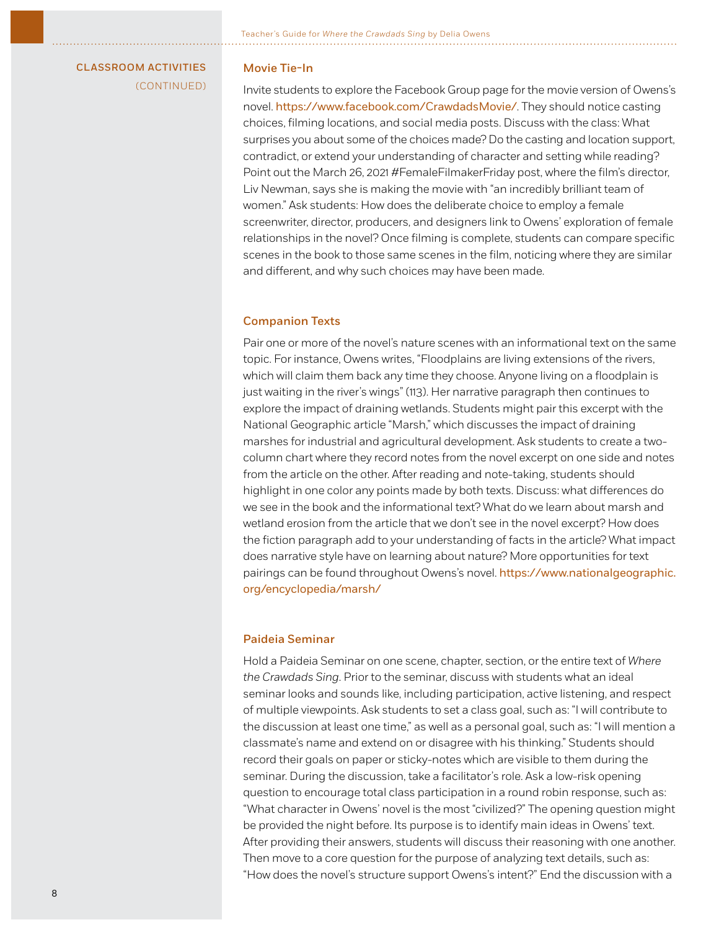#### Classroom Activities (CONTINUED)

#### Movie Tie-In

Invite students to explore the Facebook Group page for the movie version of Owens's novel. <https://www.facebook.com/CrawdadsMovie/>. They should notice casting choices, filming locations, and social media posts. Discuss with the class: What surprises you about some of the choices made? Do the casting and location support, contradict, or extend your understanding of character and setting while reading? Point out the March 26, 2021 #FemaleFilmakerFriday post, where the film's director, Liv Newman, says she is making the movie with "an incredibly brilliant team of women." Ask students: How does the deliberate choice to employ a female screenwriter, director, producers, and designers link to Owens' exploration of female relationships in the novel? Once filming is complete, students can compare specific scenes in the book to those same scenes in the film, noticing where they are similar and different, and why such choices may have been made.

#### Companion Texts

Pair one or more of the novel's nature scenes with an informational text on the same topic. For instance, Owens writes, "Floodplains are living extensions of the rivers, which will claim them back any time they choose. Anyone living on a floodplain is just waiting in the river's wings" (113). Her narrative paragraph then continues to explore the impact of draining wetlands. Students might pair this excerpt with the National Geographic article "Marsh," which discusses the impact of draining marshes for industrial and agricultural development. Ask students to create a twocolumn chart where they record notes from the novel excerpt on one side and notes from the article on the other. After reading and note-taking, students should highlight in one color any points made by both texts. Discuss: what differences do we see in the book and the informational text? What do we learn about marsh and wetland erosion from the article that we don't see in the novel excerpt? How does the fiction paragraph add to your understanding of facts in the article? What impact does narrative style have on learning about nature? More opportunities for text pairings can be found throughout Owens's novel. [https://www.nationalgeographic.](https://www.nationalgeographic.org/encyclopedia/marsh/) [org/encyclopedia/marsh/](https://www.nationalgeographic.org/encyclopedia/marsh/)

#### Paideia Seminar

Hold a Paideia Seminar on one scene, chapter, section, or the entire text of *Where the Crawdads Sing*. Prior to the seminar, discuss with students what an ideal seminar looks and sounds like, including participation, active listening, and respect of multiple viewpoints. Ask students to set a class goal, such as: "I will contribute to the discussion at least one time," as well as a personal goal, such as: "I will mention a classmate's name and extend on or disagree with his thinking." Students should record their goals on paper or sticky-notes which are visible to them during the seminar. During the discussion, take a facilitator's role. Ask a low-risk opening question to encourage total class participation in a round robin response, such as: "What character in Owens' novel is the most "civilized?" The opening question might be provided the night before. Its purpose is to identify main ideas in Owens' text. After providing their answers, students will discuss their reasoning with one another. Then move to a core question for the purpose of analyzing text details, such as: "How does the novel's structure support Owens's intent?" End the discussion with a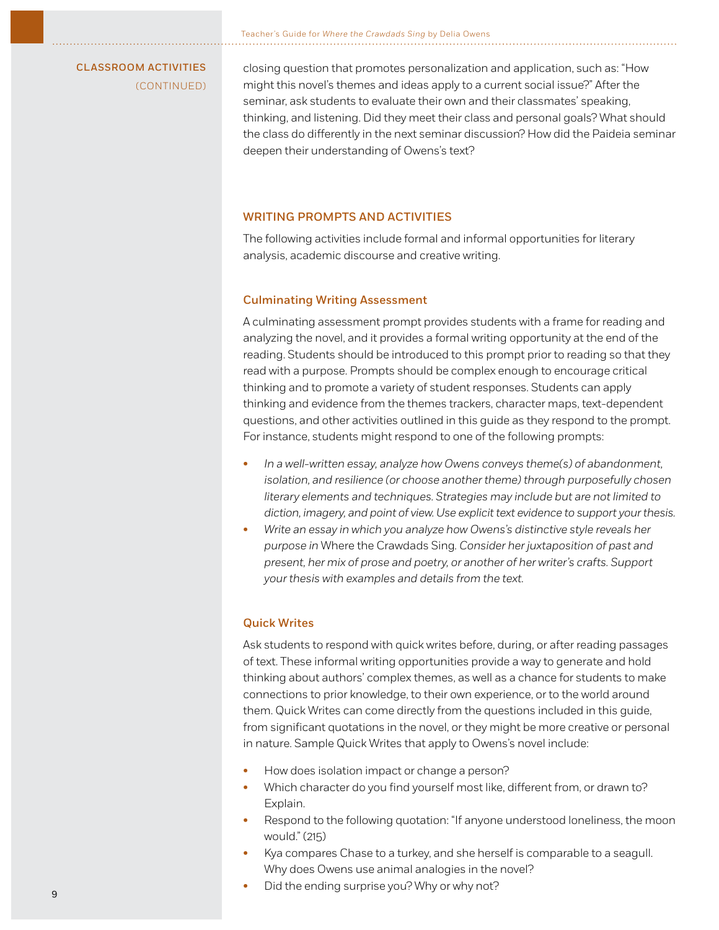#### Classroom Activities (CONTINUED)

closing question that promotes personalization and application, such as: "How might this novel's themes and ideas apply to a current social issue?" After the seminar, ask students to evaluate their own and their classmates' speaking, thinking, and listening. Did they meet their class and personal goals? What should the class do differently in the next seminar discussion? How did the Paideia seminar deepen their understanding of Owens's text?

#### WRITING PROMPTS AND ACTIVITIES

The following activities include formal and informal opportunities for literary analysis, academic discourse and creative writing.

#### Culminating Writing Assessment

A culminating assessment prompt provides students with a frame for reading and analyzing the novel, and it provides a formal writing opportunity at the end of the reading. Students should be introduced to this prompt prior to reading so that they read with a purpose. Prompts should be complex enough to encourage critical thinking and to promote a variety of student responses. Students can apply thinking and evidence from the themes trackers, character maps, text-dependent questions, and other activities outlined in this guide as they respond to the prompt. For instance, students might respond to one of the following prompts:

- *In a well-written essay, analyze how Owens conveys theme(s) of abandonment, isolation, and resilience (or choose another theme) through purposefully chosen literary elements and techniques. Strategies may include but are not limited to diction, imagery, and point of view. Use explicit text evidence to support your thesis.*
- *Write an essay in which you analyze how Owens's distinctive style reveals her purpose in* Where the Crawdads Sing*. Consider her juxtaposition of past and present, her mix of prose and poetry, or another of her writer's crafts. Support your thesis with examples and details from the text.*

#### Quick Writes

Ask students to respond with quick writes before, during, or after reading passages of text. These informal writing opportunities provide a way to generate and hold thinking about authors' complex themes, as well as a chance for students to make connections to prior knowledge, to their own experience, or to the world around them. Quick Writes can come directly from the questions included in this guide, from significant quotations in the novel, or they might be more creative or personal in nature. Sample Quick Writes that apply to Owens's novel include:

- How does isolation impact or change a person?
- Which character do you find yourself most like, different from, or drawn to? Explain.
- Respond to the following quotation: "If anyone understood loneliness, the moon would." (215)
- Kya compares Chase to a turkey, and she herself is comparable to a seagull. Why does Owens use animal analogies in the novel?
- Did the ending surprise you? Why or why not?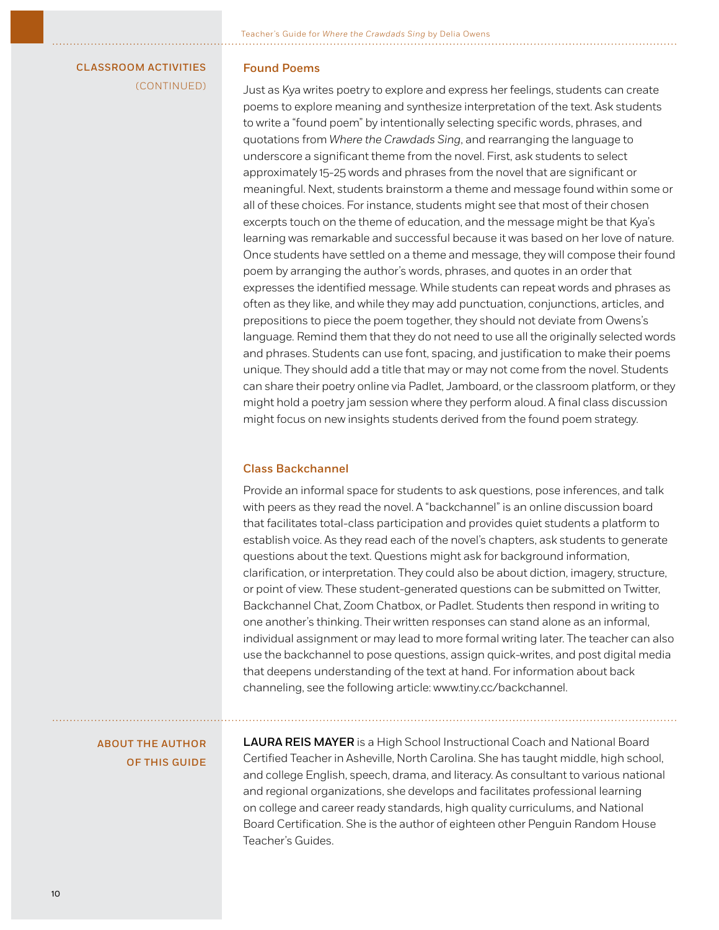#### Classroom Activities (CONTINUED)

#### Found Poems

Just as Kya writes poetry to explore and express her feelings, students can create poems to explore meaning and synthesize interpretation of the text. Ask students to write a "found poem" by intentionally selecting specific words, phrases, and quotations from *Where the Crawdads Sing*, and rearranging the language to underscore a significant theme from the novel. First, ask students to select approximately 15-25 words and phrases from the novel that are significant or meaningful. Next, students brainstorm a theme and message found within some or all of these choices. For instance, students might see that most of their chosen excerpts touch on the theme of education, and the message might be that Kya's learning was remarkable and successful because it was based on her love of nature. Once students have settled on a theme and message, they will compose their found poem by arranging the author's words, phrases, and quotes in an order that expresses the identified message. While students can repeat words and phrases as often as they like, and while they may add punctuation, conjunctions, articles, and prepositions to piece the poem together, they should not deviate from Owens's language. Remind them that they do not need to use all the originally selected words and phrases. Students can use font, spacing, and justification to make their poems unique. They should add a title that may or may not come from the novel. Students can share their poetry online via Padlet, Jamboard, or the classroom platform, or they might hold a poetry jam session where they perform aloud. A final class discussion might focus on new insights students derived from the found poem strategy.

#### Class Backchannel

Provide an informal space for students to ask questions, pose inferences, and talk with peers as they read the novel. A "backchannel" is an online discussion board that facilitates total-class participation and provides quiet students a platform to establish voice. As they read each of the novel's chapters, ask students to generate questions about the text. Questions might ask for background information, clarification, or interpretation. They could also be about diction, imagery, structure, or point of view. These student-generated questions can be submitted on Twitter, Backchannel Chat, Zoom Chatbox, or Padlet. Students then respond in writing to one another's thinking. Their written responses can stand alone as an informal, individual assignment or may lead to more formal writing later. The teacher can also use the backchannel to pose questions, assign quick-writes, and post digital media that deepens understanding of the text at hand. For information about back channeling, see the following article: www.tiny.cc/backchannel.

#### ABOUT THE AUTHOR OF THIS GUIDE

LAURA REIS MAYER is a High School Instructional Coach and National Board Certified Teacher in Asheville, North Carolina. She has taught middle, high school, and college English, speech, drama, and literacy. As consultant to various national and regional organizations, she develops and facilitates professional learning on college and career ready standards, high quality curriculums, and National Board Certification. She is the author of eighteen other Penguin Random House Teacher's Guides.